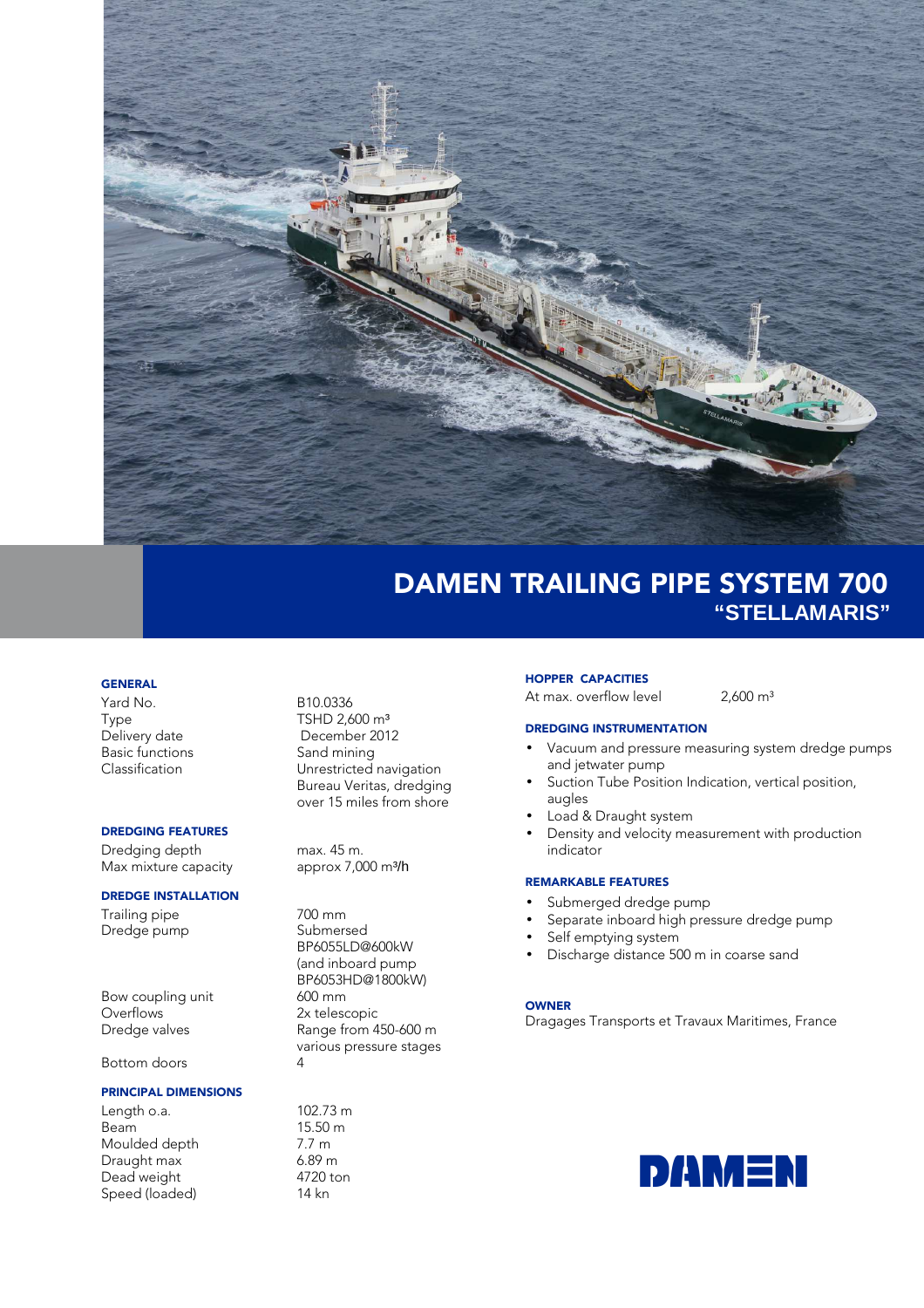

# DAMEN TRAILING PIPE SYSTEM 700 **"STELLAMARIS"**

#### **GENERAL**

Yard No. B10.0336 Type TSHD 2,600 m<sup>3</sup> Basic functions Sand mining<br>
Classification Unrestricted

### DREDGING FEATURES

Dredging depth max. 45 m. Max mixture capacity approx 7,000 m<sup>3</sup>/h

## DREDGE INSTALLATION

Trailing pipe 700 mm<br>Dredge pump 8 Submersed Dredge pump

Bow coupling unit 600 mm<br>Overflows 2x teles Overflows 2x telescopic<br>Dredae valves 2001 Range from 4

Bottom doors 4

#### PRINCIPAL DIMENSIONS

Length o.a. 102.73 m Beam 15.50 m<br>Moulded depth 15.50 m Moulded depth 7.7 m<br>Draught max 6.89 m Draught max 6.89 m<br>Dead weight 6.89 m Dead weight Speed (loaded) 14 kn

Delivery date December 2012 Unrestricted navigation Bureau Veritas, dredging over 15 miles from shore

 BP6055LD@600kW (and inboard pump BP6053HD@1800kW) Range from  $450-600$  m various pressure stages

#### HOPPER CAPACITIES

At max. overflow level 2,600 m<sup>3</sup>

#### DREDGING INSTRUMENTATION

- Vacuum and pressure measuring system dredge pumps and jetwater pump
- Suction Tube Position Indication, vertical position, augles
- Load & Draught system
- Density and velocity measurement with production indicator

## REMARKABLE FEATURES

- Submerged dredge pump
- Separate inboard high pressure dredge pump
- Self emptying system
- Discharge distance 500 m in coarse sand

### **OWNER**

Dragages Transports et Travaux Maritimes, France